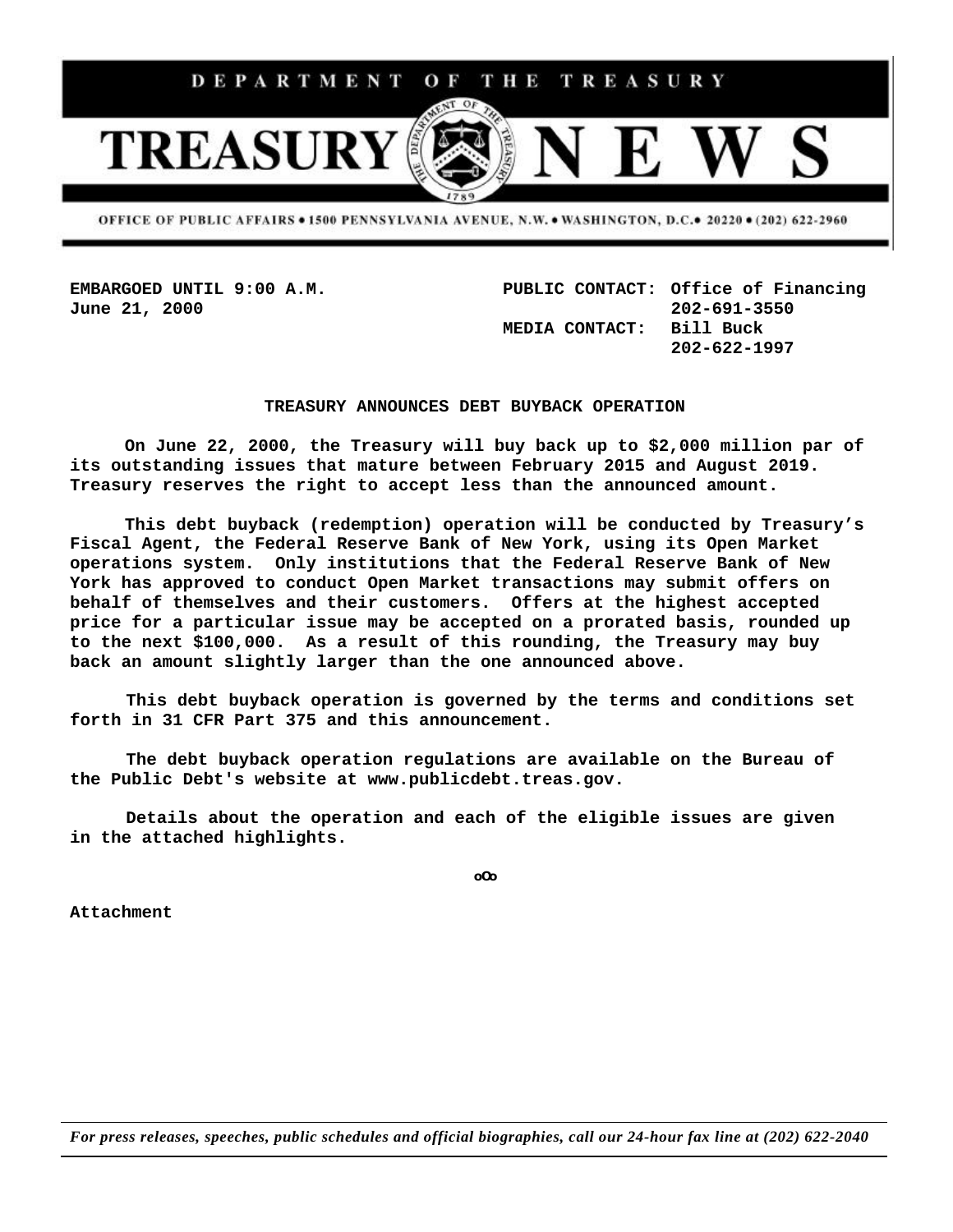

OFFICE OF PUBLIC AFFAIRS . 1500 PENNSYLVANIA AVENUE, N.W. . WASHINGTON, D.C.. 20220 . (202) 622-2960

**EMBARGOED UNTIL 9:00 A.M. PUBLIC CONTACT: Office of Financing June 21, 2000 202-691-3550 MEDIA CONTACT: Bill Buck 202-622-1997**

## **TREASURY ANNOUNCES DEBT BUYBACK OPERATION**

**On June 22, 2000, the Treasury will buy back up to \$2,000 million par of its outstanding issues that mature between February 2015 and August 2019. Treasury reserves the right to accept less than the announced amount.**

**This debt buyback (redemption) operation will be conducted by Treasury's Fiscal Agent, the Federal Reserve Bank of New York, using its Open Market operations system. Only institutions that the Federal Reserve Bank of New York has approved to conduct Open Market transactions may submit offers on behalf of themselves and their customers. Offers at the highest accepted price for a particular issue may be accepted on a prorated basis, rounded up to the next \$100,000. As a result of this rounding, the Treasury may buy back an amount slightly larger than the one announced above.**

**This debt buyback operation is governed by the terms and conditions set forth in 31 CFR Part 375 and this announcement.**

**The debt buyback operation regulations are available on the Bureau of the Public Debt's website at www.publicdebt.treas.gov.**

**Details about the operation and each of the eligible issues are given in the attached highlights.**

**oOo**

**Attachment**

*For press releases, speeches, public schedules and official biographies, call our 24-hour fax line at (202) 622-2040*